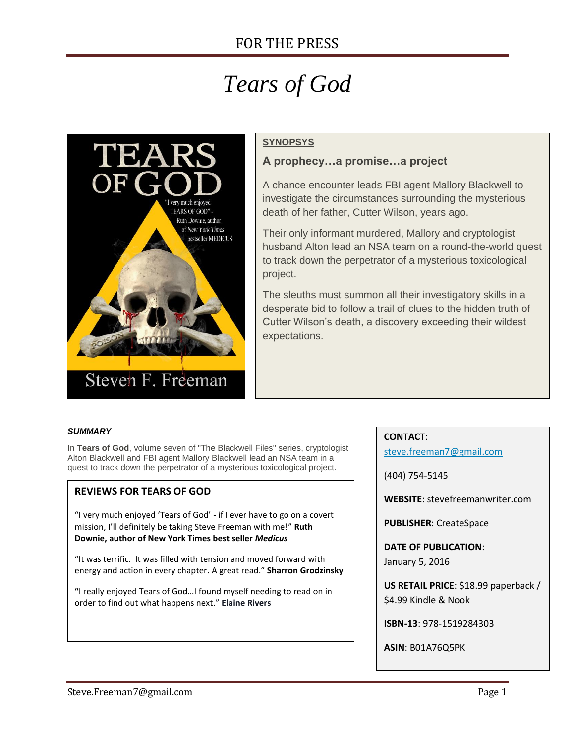# *Tears of God*



## **SYNOPSYS**

## **A prophecy…a promise…a project**

A chance encounter leads FBI agent Mallory Blackwell to investigate the circumstances surrounding the mysterious death of her father, Cutter Wilson, years ago.

Their only informant murdered, Mallory and cryptologist husband Alton lead an NSA team on a round-the-world quest to track down the perpetrator of a mysterious toxicological project.

The sleuths must summon all their investigatory skills in a desperate bid to follow a trail of clues to the hidden truth of Cutter Wilson's death, a discovery exceeding their wildest expectations.

#### *SUMMARY*

In **Tears of God**, volume seven of "The Blackwell Files" series, cryptologist Alton Blackwell and FBI agent Mallory Blackwell lead an NSA team in a quest to track down the perpetrator of a mysterious toxicological project.

### **REVIEWS FOR TEARS OF GOD**

"I very much enjoyed 'Tears of God' - if I ever have to go on a covert mission, I'll definitely be taking Steve Freeman with me!" **Ruth Downie, author of New York Times best seller** *Medicus*

"It was terrific. It was filled with tension and moved forward with energy and action in every chapter. A great read." **Sharron Grodzinsky**

**"**I really enjoyed Tears of God…I found myself needing to read on in order to find out what happens next." **Elaine Rivers**

#### **CONTACT**:

[steve.freeman7@gmail.com](mailto:steve.freeman7@gmail.com)

(404) 754-5145

**WEBSITE**: stevefreemanwriter.com

**PUBLISHER**: CreateSpace

**DATE OF PUBLICATION**: January 5, 2016

**US RETAIL PRICE**: \$18.99 paperback / \$4.99 Kindle & Nook

**ISBN-13**: 978-1519284303

**ASIN**: B01A76Q5PK

**PAGES**: 463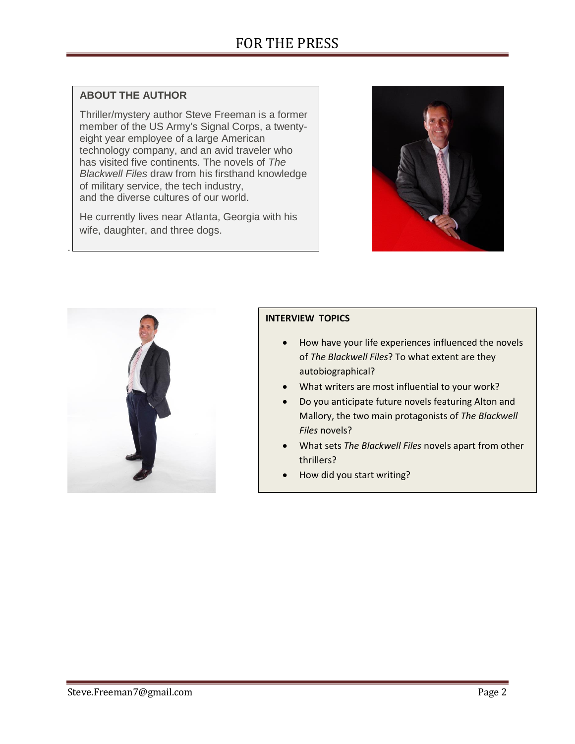## **ABOUT THE AUTHOR**

.

Thriller/mystery author Steve Freeman is a former member of the US Army's Signal Corps, a twentyeight year employee of a large American technology company, and an avid traveler who has visited five continents. The novels of *The Blackwell Files* draw from his firsthand knowledge of military service, the tech industry, and the diverse cultures of our world.

He currently lives near Atlanta, Georgia with his wife, daughter, and three dogs.





## **INTERVIEW TOPICS**

- How have your life experiences influenced the novels of *The Blackwell Files*? To what extent are they autobiographical?
- What writers are most influential to your work?
- Do you anticipate future novels featuring Alton and Mallory, the two main protagonists of *The Blackwell Files* novels?
- What sets *The Blackwell Files* novels apart from other thrillers?
- How did you start writing?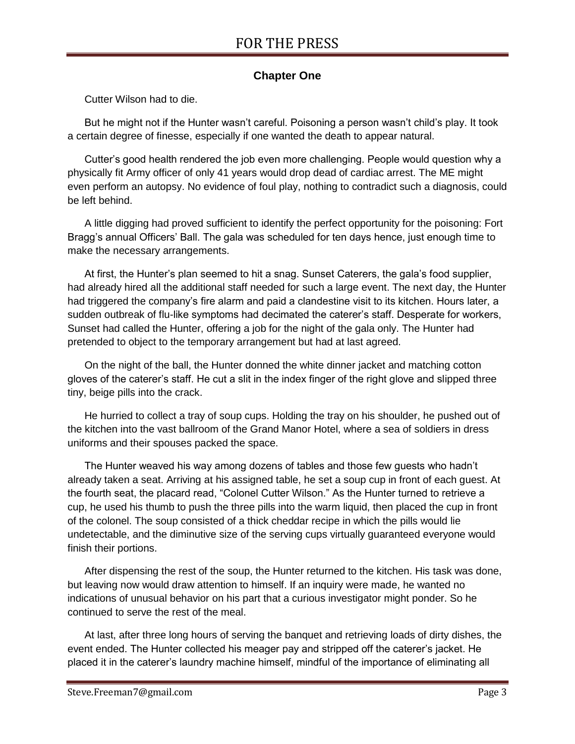# **Chapter One**

Cutter Wilson had to die.

But he might not if the Hunter wasn't careful. Poisoning a person wasn't child's play. It took a certain degree of finesse, especially if one wanted the death to appear natural.

Cutter's good health rendered the job even more challenging. People would question why a physically fit Army officer of only 41 years would drop dead of cardiac arrest. The ME might even perform an autopsy. No evidence of foul play, nothing to contradict such a diagnosis, could be left behind.

A little digging had proved sufficient to identify the perfect opportunity for the poisoning: Fort Bragg's annual Officers' Ball. The gala was scheduled for ten days hence, just enough time to make the necessary arrangements.

At first, the Hunter's plan seemed to hit a snag. Sunset Caterers, the gala's food supplier, had already hired all the additional staff needed for such a large event. The next day, the Hunter had triggered the company's fire alarm and paid a clandestine visit to its kitchen. Hours later, a sudden outbreak of flu-like symptoms had decimated the caterer's staff. Desperate for workers, Sunset had called the Hunter, offering a job for the night of the gala only. The Hunter had pretended to object to the temporary arrangement but had at last agreed.

On the night of the ball, the Hunter donned the white dinner jacket and matching cotton gloves of the caterer's staff. He cut a slit in the index finger of the right glove and slipped three tiny, beige pills into the crack.

He hurried to collect a tray of soup cups. Holding the tray on his shoulder, he pushed out of the kitchen into the vast ballroom of the Grand Manor Hotel, where a sea of soldiers in dress uniforms and their spouses packed the space.

The Hunter weaved his way among dozens of tables and those few guests who hadn't already taken a seat. Arriving at his assigned table, he set a soup cup in front of each guest. At the fourth seat, the placard read, "Colonel Cutter Wilson." As the Hunter turned to retrieve a cup, he used his thumb to push the three pills into the warm liquid, then placed the cup in front of the colonel. The soup consisted of a thick cheddar recipe in which the pills would lie undetectable, and the diminutive size of the serving cups virtually guaranteed everyone would finish their portions.

After dispensing the rest of the soup, the Hunter returned to the kitchen. His task was done, but leaving now would draw attention to himself. If an inquiry were made, he wanted no indications of unusual behavior on his part that a curious investigator might ponder. So he continued to serve the rest of the meal.

At last, after three long hours of serving the banquet and retrieving loads of dirty dishes, the event ended. The Hunter collected his meager pay and stripped off the caterer's jacket. He placed it in the caterer's laundry machine himself, mindful of the importance of eliminating all